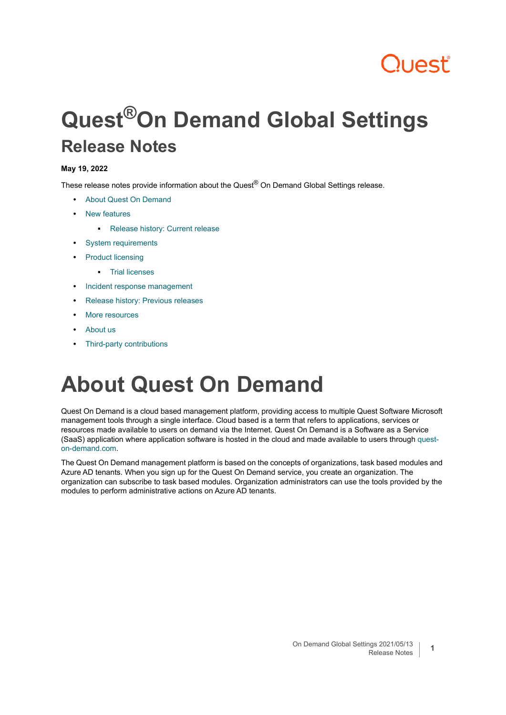# Quest

# **Quest®On Demand Global Settings Release Notes**

### **May 19, 2022**

These release notes provide information about the Quest® On Demand Global Settings release.

- **•** [About Quest On Demand](#page-0-0)
- **•** [New features](#page-1-0)
	- **▪** [Release history: Current release](#page-2-2)
- **•** [System requirements](#page-2-0)
- **•** [Product licensing](#page-2-1)
	- **▪** [Trial licenses](#page-3-0)
- **•** [Incident response management](#page-4-1)
- **•** [Release history: Previous releases](#page-4-0)
- **•** [More resources](#page-5-0)
- **•** [About us](#page-6-0)
- **•** [Third-party contributions](#page-6-1)

# <span id="page-0-0"></span>**About Quest On Demand**

Quest On Demand is a cloud based management platform, providing access to multiple Quest Software Microsoft management tools through a single interface. Cloud based is a term that refers to applications, services or resources made available to users on demand via the Internet. Quest On Demand is a Software as a Service (SaaS) application where application software is hosted in the cloud and made available to users through [quest](https://quest-on-demand.com/#/landing)[on-demand.com.](https://quest-on-demand.com/#/landing)

The Quest On Demand management platform is based on the concepts of organizations, task based modules and Azure AD tenants. When you sign up for the Quest On Demand service, you create an organization. The organization can subscribe to task based modules. Organization administrators can use the tools provided by the modules to perform administrative actions on Azure AD tenants.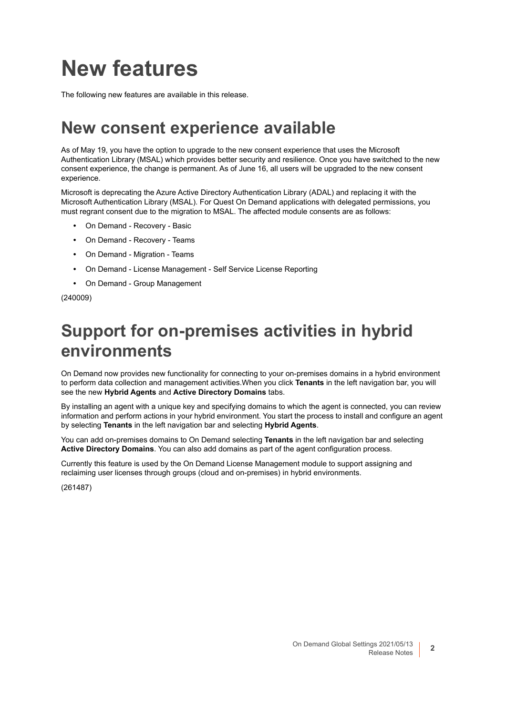# <span id="page-1-0"></span>**New features**

The following new features are available in this release.

### **New consent experience available**

As of May 19, you have the option to upgrade to the new consent experience that uses the Microsoft Authentication Library (MSAL) which provides better security and resilience. Once you have switched to the new consent experience, the change is permanent. As of June 16, all users will be upgraded to the new consent experience.

Microsoft is deprecating the Azure Active Directory Authentication Library (ADAL) and replacing it with the Microsoft Authentication Library (MSAL). For Quest On Demand applications with delegated permissions, you must regrant consent due to the migration to MSAL. The affected module consents are as follows:

- **•** On Demand Recovery Basic
- **•** On Demand Recovery Teams
- **•** On Demand Migration Teams
- **•** On Demand License Management Self Service License Reporting
- **•** On Demand Group Management

(240009)

## **Support for on-premises activities in hybrid environments**

On Demand now provides new functionality for connecting to your on-premises domains in a hybrid environment to perform data collection and management activities.When you click **Tenants** in the left navigation bar, you will see the new **Hybrid Agents** and **Active Directory Domains** tabs.

By installing an agent with a unique key and specifying domains to which the agent is connected, you can review information and perform actions in your hybrid environment. You start the process to install and configure an agent by selecting **Tenants** in the left navigation bar and selecting **Hybrid Agents**.

You can add on-premises domains to On Demand selecting **Tenants** in the left navigation bar and selecting **Active Directory Domains**. You can also add domains as part of the agent configuration process.

Currently this feature is used by the On Demand License Management module to support assigning and reclaiming user licenses through groups (cloud and on-premises) in hybrid environments.

(261487)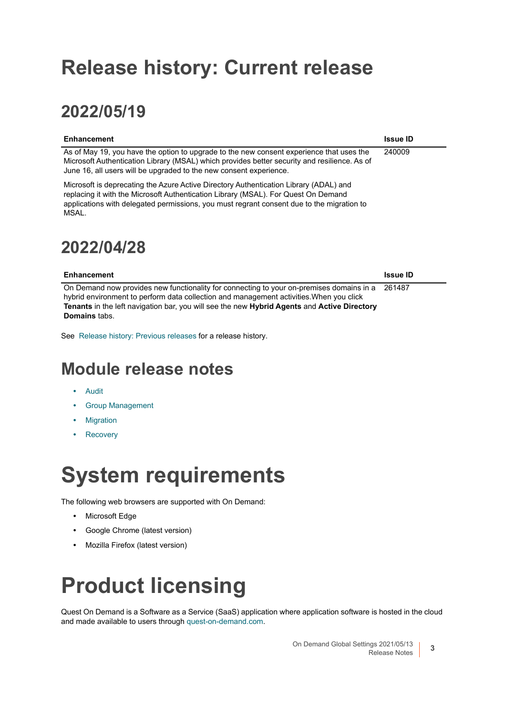## <span id="page-2-2"></span>**Release history: Current release**

## **2022/05/19**

| <b>Enhancement</b>                                                                                                                                                                                                                                                                             | <b>Issue ID</b> |
|------------------------------------------------------------------------------------------------------------------------------------------------------------------------------------------------------------------------------------------------------------------------------------------------|-----------------|
| As of May 19, you have the option to upgrade to the new consent experience that uses the<br>Microsoft Authentication Library (MSAL) which provides better security and resilience. As of<br>June 16, all users will be upgraded to the new consent experience.                                 | 240009          |
| Microsoft is deprecating the Azure Active Directory Authentication Library (ADAL) and<br>replacing it with the Microsoft Authentication Library (MSAL). For Quest On Demand<br>applications with delegated permissions, you must regrant consent due to the migration to<br>MSAL<br>2022/04/28 |                 |
| <b>Enhancement</b>                                                                                                                                                                                                                                                                             | <b>Issue ID</b> |
| On Demand now provides new functionality for connecting to your on-premises domains in a                                                                                                                                                                                                       | 261487          |

hybrid environment to perform data collection and management activities.When you click **Tenants** in the left navigation bar, you will see the new **Hybrid Agents** and **Active Directory Domains** tabs.

See[Release history: Previous releases](#page-4-0) for a release history.

### **Module release notes**

- **•** [Audit](https://support.quest.com/technical-documents/on-demand-audit/current/release-notes)
- **•** [Group Management](https://support.quest.com/technical-documents/on-demand-group-management/current/release-notes)
- **•** [Migration](https://support.quest.com/technical-documents/on-demand-migration/current/release-notes)
- **•** [Recovery](https://support.quest.com/technical-documents/on-demand-recovery-for-azure-active-directory/current/release-notes/)

# <span id="page-2-0"></span>**System requirements**

The following web browsers are supported with On Demand:

- **•** Microsoft Edge
- **•** Google Chrome (latest version)
- **•** Mozilla Firefox (latest version)

# <span id="page-2-1"></span>**Product licensing**

Quest On Demand is a Software as a Service (SaaS) application where application software is hosted in the cloud and made available to users throug[h quest-on-demand.com.](https://quest-on-demand.com/#/landing)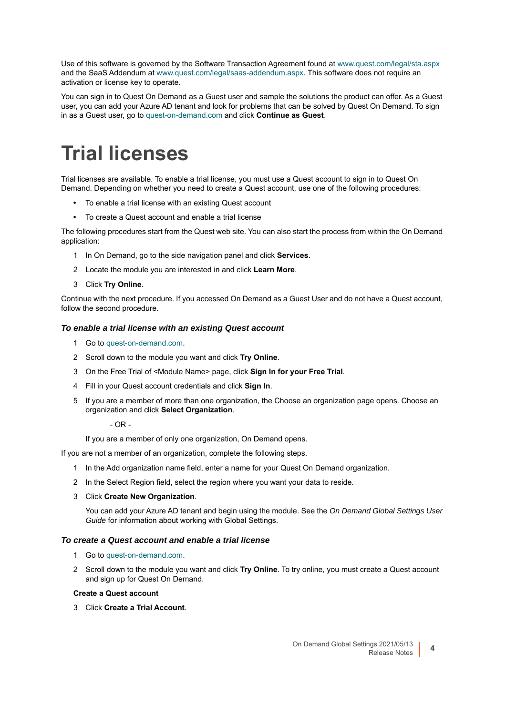Use of this software is governed by the Software Transaction Agreement found at [www.quest.com/legal/sta.aspx](https://www.quest.com/legal/sta.aspx) and the SaaS Addendum at [www.quest.com/legal/saas-addendum.aspx](https://www.quest.com/legal/saas-addendum.aspx). This software does not require an activation or license key to operate.

You can sign in to Quest On Demand as a Guest user and sample the solutions the product can offer. As a Guest user, you can add your Azure AD tenant and look for problems that can be solved by Quest On Demand. To sign in as a Guest user, go to [quest-on-demand.com](https://quest-on-demand.com/#/landing) and click **Continue as Guest**.

## <span id="page-3-0"></span>**Trial licenses**

Trial licenses are available. To enable a trial license, you must use a Quest account to sign in to Quest On Demand. Depending on whether you need to create a Quest account, use one of the following procedures:

- **•** To enable a trial license with an existing Quest account
- **•** To create a Quest account and enable a trial license

The following procedures start from the Quest web site. You can also start the process from within the On Demand application:

- 1 In On Demand, go to the side navigation panel and click **Services**.
- 2 Locate the module you are interested in and click **Learn More**.
- 3 Click **Try Online**.

Continue with the next procedure. If you accessed On Demand as a Guest User and do not have a Quest account, follow the second procedure.

#### *To enable a trial license with an existing Quest account*

- 1 Go to [quest-on-demand.com](https://quest-on-demand.com/#/landing).
- 2 Scroll down to the module you want and click **Try Online**.
- 3 On the Free Trial of <Module Name> page, click **Sign In for your Free Trial**.
- 4 Fill in your Quest account credentials and click **Sign In**.
- 5 If you are a member of more than one organization, the Choose an organization page opens. Choose an organization and click **Select Organization**.

- OR -

If you are a member of only one organization, On Demand opens.

If you are not a member of an organization, complete the following steps.

- 1 In the Add organization name field, enter a name for your Quest On Demand organization.
- 2 In the Select Region field, select the region where you want your data to reside.
- 3 Click **Create New Organization**.

You can add your Azure AD tenant and begin using the module. See the *On Demand Global Settings User Guide* for information about working with Global Settings.

#### *To create a Quest account and enable a trial license*

- 1 Go to [quest-on-demand.com](https://quest-on-demand.com/#/landing).
- 2 Scroll down to the module you want and click **Try Online**. To try online, you must create a Quest account and sign up for Quest On Demand.

#### **Create a Quest account**

3 Click **Create a Trial Account**.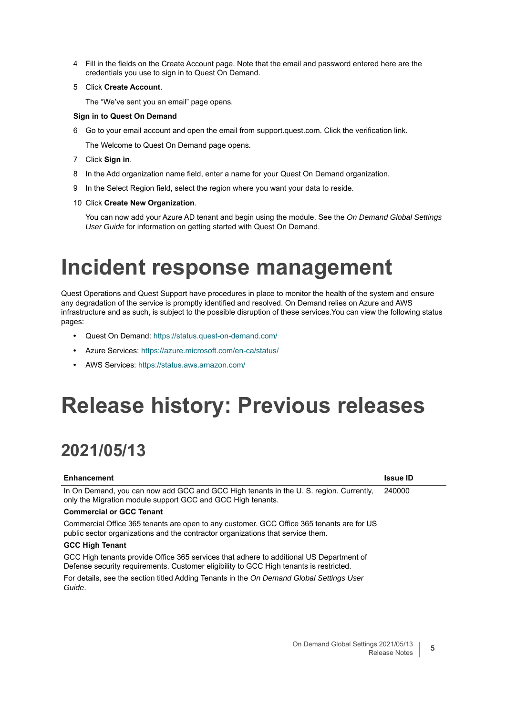- 4 Fill in the fields on the Create Account page. Note that the email and password entered here are the credentials you use to sign in to Quest On Demand.
- 5 Click **Create Account**.

The "We've sent you an email" page opens.

#### **Sign in to Quest On Demand**

6 Go to your email account and open the email from support.quest.com. Click the verification link.

The Welcome to Quest On Demand page opens.

- 7 Click **Sign in**.
- 8 In the Add organization name field, enter a name for your Quest On Demand organization.
- 9 In the Select Region field, select the region where you want your data to reside.
- 10 Click **Create New Organization**.

You can now add your Azure AD tenant and begin using the module. See the *On Demand Global Settings User Guide* for information on getting started with Quest On Demand.

# <span id="page-4-1"></span>**Incident response management**

Quest Operations and Quest Support have procedures in place to monitor the health of the system and ensure any degradation of the service is promptly identified and resolved. On Demand relies on Azure and AWS infrastructure and as such, is subject to the possible disruption of these services.You can view the following status pages:

- **•** Quest On Demand[: https://status.quest-on-demand.com/](https://status.quest-on-demand.com/)
- **•** Azure Services: [https://azure.microsoft.com/en-ca/status/](https://status.quest-on-demand.com/)
- **•** [AWS Services: h](https://status.quest-on-demand.com/)ttps://status.aws.amazon.com/

# <span id="page-4-0"></span>**Release history: Previous releases**

## **2021/05/13**

| <b>Enhancement</b>                                                                                                                                                                | <b>Issue ID</b> |
|-----------------------------------------------------------------------------------------------------------------------------------------------------------------------------------|-----------------|
| In On Demand, you can now add GCC and GCC High tenants in the U.S. region. Currently,<br>only the Migration module support GCC and GCC High tenants.                              | 240000          |
| <b>Commercial or GCC Tenant</b>                                                                                                                                                   |                 |
| Commercial Office 365 tenants are open to any customer. GCC Office 365 tenants are for US<br>public sector organizations and the contractor organizations that service them.      |                 |
| <b>GCC High Tenant</b>                                                                                                                                                            |                 |
| GCC High tenants provide Office 365 services that adhere to additional US Department of<br>Defense security requirements. Customer eligibility to GCC High tenants is restricted. |                 |
| For details, see the section titled Adding Tenants in the On Demand Global Settings User<br>Guide.                                                                                |                 |
|                                                                                                                                                                                   |                 |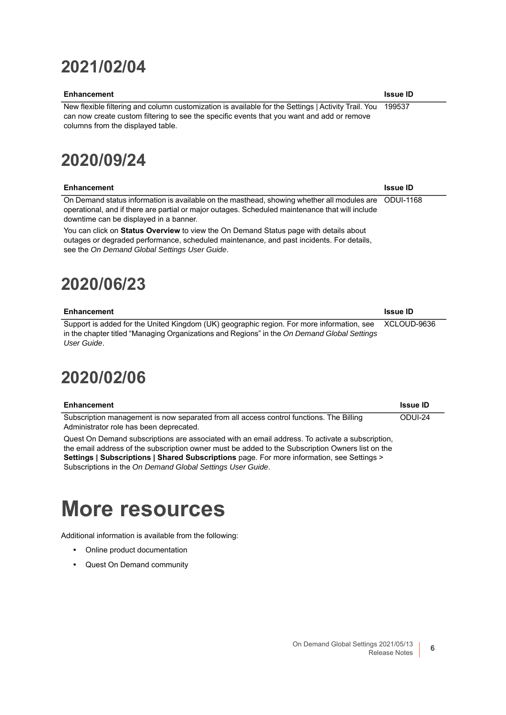## **2021/02/04**

#### **Enhancement Issue ID**

New flexible filtering and column customization is available for the Settings | Activity Trail. You can now create custom filtering to see the specific events that you want and add or remove columns from the displayed table. 199537

## **2020/09/24**

| Enhancement                                                                                          | <b>Issue ID</b> |
|------------------------------------------------------------------------------------------------------|-----------------|
| On Demand status information is available on the masthead, showing whether all modules are ODUI-1168 |                 |
| operational, and if there are partial or major outages. Scheduled maintenance that will include      |                 |
| downtime can be displayed in a banner.                                                               |                 |

You can click on **Status Overview** to view the On Demand Status page with details about outages or degraded performance, scheduled maintenance, and past incidents. For details, see the *On Demand Global Settings User Guide*.

## **2020/06/23**

| Enhancement                                                                                           | <b>Issue ID</b> |
|-------------------------------------------------------------------------------------------------------|-----------------|
| Support is added for the United Kingdom (UK) geographic region. For more information, see XCLOUD-9636 |                 |
| in the chapter titled "Managing Organizations and Regions" in the On Demand Global Settings           |                 |
| User Guide.                                                                                           |                 |

### **2020/02/06**

| Enhancement                                                                                                                        | <b>Issue ID</b> |  |
|------------------------------------------------------------------------------------------------------------------------------------|-----------------|--|
| Subscription management is now separated from all access control functions. The Billing<br>Administrator role has been deprecated. | ODUI-24         |  |
| Ouget On Demand subscriptions are associated with an email address. To activate a subscription                                     |                 |  |

Quest On Demand subscriptions are associated with an email address. To activate a subscription, the email address of the subscription owner must be added to the Subscription Owners list on the **Settings | Subscriptions | Shared Subscriptions** page. For more information, see Settings > Subscriptions in the *On Demand Global Settings User Guide*.

## <span id="page-5-0"></span>**More resources**

Additional information is available from the following:

- **•** Online product documentation
- **•** Quest On Demand community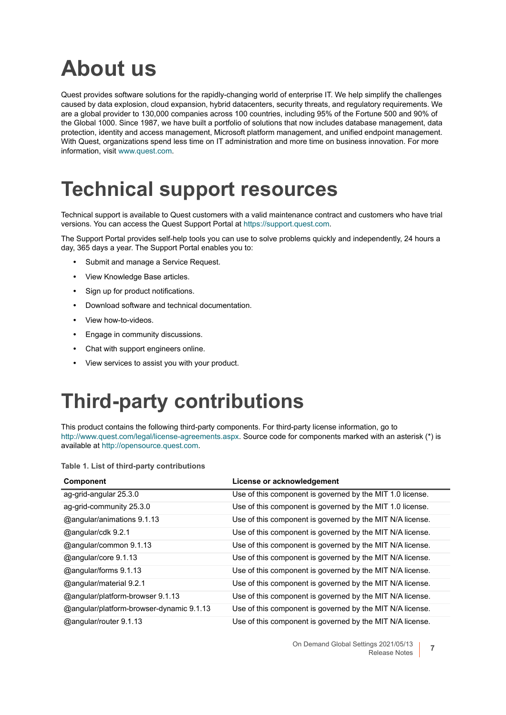# <span id="page-6-0"></span>**About us**

Quest provides software solutions for the rapidly-changing world of enterprise IT. We help simplify the challenges caused by data explosion, cloud expansion, hybrid datacenters, security threats, and regulatory requirements. We are a global provider to 130,000 companies across 100 countries, including 95% of the Fortune 500 and 90% of the Global 1000. Since 1987, we have built a portfolio of solutions that now includes database management, data protection, identity and access management, Microsoft platform management, and unified endpoint management. With Quest, organizations spend less time on IT administration and more time on business innovation. For more information, visit [www.quest.com](https://www.quest.com/company/contact-us.aspx).

## **Technical support resources**

Technical support is available to Quest customers with a valid maintenance contract and customers who have trial versions. You can access the Quest Support Portal at [https://support.quest.com.](https://support.quest.com)

The Support Portal provides self-help tools you can use to solve problems quickly and independently, 24 hours a day, 365 days a year. The Support Portal enables you to:

- **•** Submit and manage a Service Request.
- **•** View Knowledge Base articles.
- **•** Sign up for product notifications.
- **•** Download software and technical documentation.
- **•** View how-to-videos.
- **•** Engage in community discussions.
- **•** Chat with support engineers online.
- **•** View services to assist you with your product.

## <span id="page-6-1"></span>**Third-party contributions**

This product contains the following third-party components. For third-party license information, go to <http://www.quest.com/legal/license-agreements.aspx>. Source code for components marked with an asterisk (\*) is available at <http://opensource.quest.com>.

| <b>Component</b>                         | License or acknowledgement                                |
|------------------------------------------|-----------------------------------------------------------|
| ag-grid-angular 25.3.0                   | Use of this component is governed by the MIT 1.0 license. |
| ag-grid-community 25.3.0                 | Use of this component is governed by the MIT 1.0 license. |
| @angular/animations 9.1.13               | Use of this component is governed by the MIT N/A license. |
| @angular/cdk 9.2.1                       | Use of this component is governed by the MIT N/A license. |
| @angular/common 9.1.13                   | Use of this component is governed by the MIT N/A license. |
| @angular/core 9.1.13                     | Use of this component is governed by the MIT N/A license. |
| @angular/forms 9.1.13                    | Use of this component is governed by the MIT N/A license. |
| @angular/material 9.2.1                  | Use of this component is governed by the MIT N/A license. |
| @angular/platform-browser 9.1.13         | Use of this component is governed by the MIT N/A license. |
| @angular/platform-browser-dynamic 9.1.13 | Use of this component is governed by the MIT N/A license. |
| @angular/router 9.1.13                   | Use of this component is governed by the MIT N/A license. |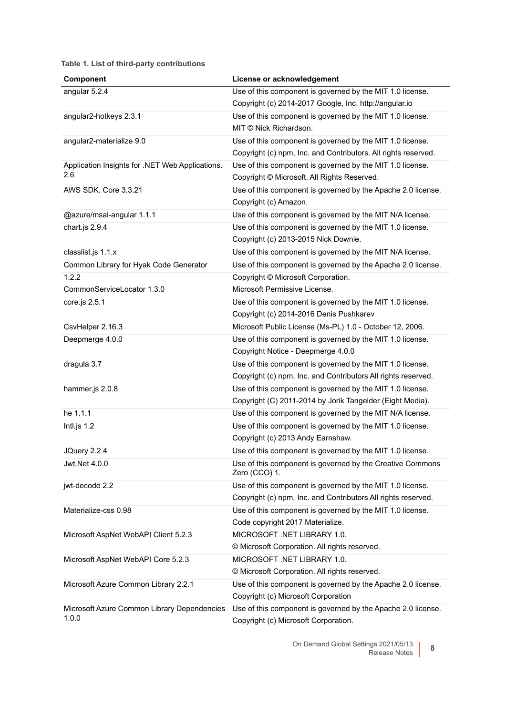| Component                                              | License or acknowledgement                                                                      |
|--------------------------------------------------------|-------------------------------------------------------------------------------------------------|
| angular 5.2.4                                          | Use of this component is governed by the MIT 1.0 license.                                       |
|                                                        | Copyright (c) 2014-2017 Google, Inc. http://angular.io                                          |
| angular2-hotkeys 2.3.1                                 | Use of this component is governed by the MIT 1.0 license.                                       |
|                                                        | MIT © Nick Richardson.                                                                          |
| angular2-materialize 9.0                               | Use of this component is governed by the MIT 1.0 license.                                       |
|                                                        | Copyright (c) npm, Inc. and Contributors. All rights reserved.                                  |
| Application Insights for .NET Web Applications.<br>2.6 | Use of this component is governed by the MIT 1.0 license.                                       |
|                                                        | Copyright © Microsoft. All Rights Reserved.                                                     |
| AWS SDK, Core 3.3.21                                   | Use of this component is governed by the Apache 2.0 license.                                    |
|                                                        | Copyright (c) Amazon.                                                                           |
| @azure/msal-angular 1.1.1                              | Use of this component is governed by the MIT N/A license.                                       |
| chart.js 2.9.4                                         | Use of this component is governed by the MIT 1.0 license.                                       |
|                                                        | Copyright (c) 2013-2015 Nick Downie.                                                            |
| classlist.js 1.1.x                                     | Use of this component is governed by the MIT N/A license.                                       |
| Common Library for Hyak Code Generator                 | Use of this component is governed by the Apache 2.0 license.                                    |
| 1.2.2                                                  | Copyright © Microsoft Corporation.                                                              |
| CommonServiceLocator 1.3.0                             | Microsoft Permissive License.                                                                   |
| core.js 2.5.1                                          | Use of this component is governed by the MIT 1.0 license.                                       |
|                                                        | Copyright (c) 2014-2016 Denis Pushkarev                                                         |
| CsvHelper 2.16.3                                       | Microsoft Public License (Ms-PL) 1.0 - October 12, 2006.                                        |
| Deepmerge 4.0.0                                        | Use of this component is governed by the MIT 1.0 license.<br>Copyright Notice - Deepmerge 4.0.0 |
| dragula 3.7                                            | Use of this component is governed by the MIT 1.0 license.                                       |
|                                                        | Copyright (c) npm, Inc. and Contributors All rights reserved.                                   |
| hammer.js 2.0.8                                        | Use of this component is governed by the MIT 1.0 license.                                       |
|                                                        | Copyright (C) 2011-2014 by Jorik Tangelder (Eight Media).                                       |
| he 1.1.1                                               | Use of this component is governed by the MIT N/A license.                                       |
| Intl.js $1.2$                                          | Use of this component is governed by the MIT 1.0 license.                                       |
|                                                        | Copyright (c) 2013 Andy Earnshaw.                                                               |
| JQuery 2.2.4                                           | Use of this component is governed by the MIT 1.0 license.                                       |
| Jwt.Net 4.0.0                                          | Use of this component is governed by the Creative Commons<br>Zero (CCO) 1.                      |
| jwt-decode 2.2                                         | Use of this component is governed by the MIT 1.0 license.                                       |
|                                                        | Copyright (c) npm, Inc. and Contributors All rights reserved.                                   |
| Materialize-css 0.98                                   | Use of this component is governed by the MIT 1.0 license.                                       |
|                                                        | Code copyright 2017 Materialize.                                                                |
| Microsoft AspNet WebAPI Client 5.2.3                   | MICROSOFT .NET LIBRARY 1.0.                                                                     |
|                                                        | © Microsoft Corporation. All rights reserved.                                                   |
| Microsoft AspNet WebAPI Core 5.2.3                     | MICROSOFT .NET LIBRARY 1.0.                                                                     |
|                                                        | © Microsoft Corporation. All rights reserved.                                                   |
| Microsoft Azure Common Library 2.2.1                   | Use of this component is governed by the Apache 2.0 license.                                    |
|                                                        | Copyright (c) Microsoft Corporation                                                             |
| Microsoft Azure Common Library Dependencies            | Use of this component is governed by the Apache 2.0 license.                                    |
| 1.0.0                                                  | Copyright (c) Microsoft Corporation.                                                            |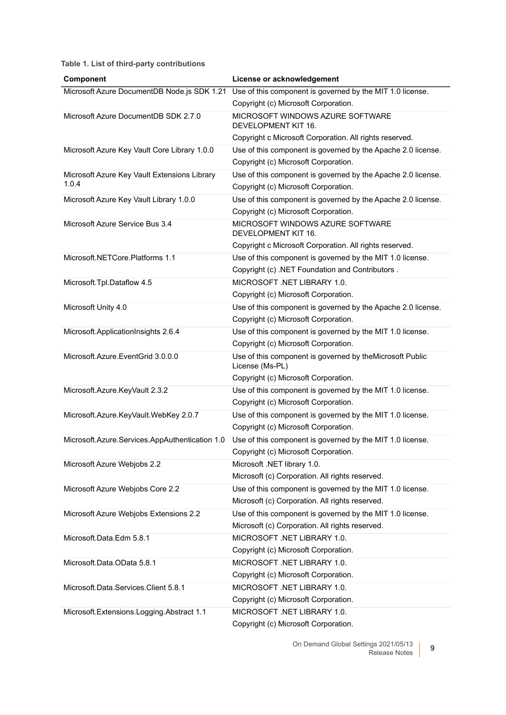| Component                                      | License or acknowledgement                                                  |
|------------------------------------------------|-----------------------------------------------------------------------------|
| Microsoft Azure DocumentDB Node.js SDK 1.21    | Use of this component is governed by the MIT 1.0 license.                   |
|                                                | Copyright (c) Microsoft Corporation.                                        |
| Microsoft Azure DocumentDB SDK 2.7.0           | MICROSOFT WINDOWS AZURE SOFTWARE<br>DEVELOPMENT KIT 16.                     |
|                                                | Copyright c Microsoft Corporation. All rights reserved.                     |
| Microsoft Azure Key Vault Core Library 1.0.0   | Use of this component is governed by the Apache 2.0 license.                |
|                                                | Copyright (c) Microsoft Corporation.                                        |
| Microsoft Azure Key Vault Extensions Library   | Use of this component is governed by the Apache 2.0 license.                |
| 1.0.4                                          | Copyright (c) Microsoft Corporation.                                        |
| Microsoft Azure Key Vault Library 1.0.0        | Use of this component is governed by the Apache 2.0 license.                |
|                                                | Copyright (c) Microsoft Corporation.                                        |
| Microsoft Azure Service Bus 3.4                | MICROSOFT WINDOWS AZURE SOFTWARE<br>DEVELOPMENT KIT 16.                     |
|                                                | Copyright c Microsoft Corporation. All rights reserved.                     |
| Microsoft.NETCore.Platforms 1.1                | Use of this component is governed by the MIT 1.0 license.                   |
|                                                | Copyright (c) .NET Foundation and Contributors.                             |
| Microsoft.Tpl.Dataflow 4.5                     | MICROSOFT .NET LIBRARY 1.0.                                                 |
|                                                | Copyright (c) Microsoft Corporation.                                        |
| Microsoft Unity 4.0                            | Use of this component is governed by the Apache 2.0 license.                |
|                                                | Copyright (c) Microsoft Corporation.                                        |
| Microsoft.ApplicationInsights 2.6.4            | Use of this component is governed by the MIT 1.0 license.                   |
|                                                | Copyright (c) Microsoft Corporation.                                        |
| Microsoft.Azure.EventGrid 3.0.0.0              | Use of this component is governed by theMicrosoft Public<br>License (Ms-PL) |
|                                                | Copyright (c) Microsoft Corporation.                                        |
| Microsoft.Azure.KeyVault 2.3.2                 | Use of this component is governed by the MIT 1.0 license.                   |
|                                                | Copyright (c) Microsoft Corporation.                                        |
| Microsoft.Azure.KeyVault.WebKey 2.0.7          | Use of this component is governed by the MIT 1.0 license.                   |
|                                                | Copyright (c) Microsoft Corporation.                                        |
| Microsoft.Azure.Services.AppAuthentication 1.0 | Use of this component is governed by the MIT 1.0 license.                   |
|                                                | Copyright (c) Microsoft Corporation.                                        |
| Microsoft Azure Webjobs 2.2                    | Microsoft .NET library 1.0.                                                 |
|                                                | Microsoft (c) Corporation. All rights reserved.                             |
| Microsoft Azure Webjobs Core 2.2               | Use of this component is governed by the MIT 1.0 license.                   |
|                                                | Microsoft (c) Corporation. All rights reserved.                             |
| Microsoft Azure Webjobs Extensions 2.2         | Use of this component is governed by the MIT 1.0 license.                   |
|                                                | Microsoft (c) Corporation. All rights reserved.                             |
| Microsoft.Data.Edm 5.8.1                       | MICROSOFT .NET LIBRARY 1.0.                                                 |
|                                                | Copyright (c) Microsoft Corporation.                                        |
| Microsoft.Data.OData 5.8.1                     | MICROSOFT .NET LIBRARY 1.0.                                                 |
|                                                | Copyright (c) Microsoft Corporation.                                        |
| Microsoft.Data.Services.Client 5.8.1           | MICROSOFT .NET LIBRARY 1.0.                                                 |
|                                                | Copyright (c) Microsoft Corporation.                                        |
| Microsoft.Extensions.Logging.Abstract 1.1      | MICROSOFT .NET LIBRARY 1.0.                                                 |
|                                                | Copyright (c) Microsoft Corporation.                                        |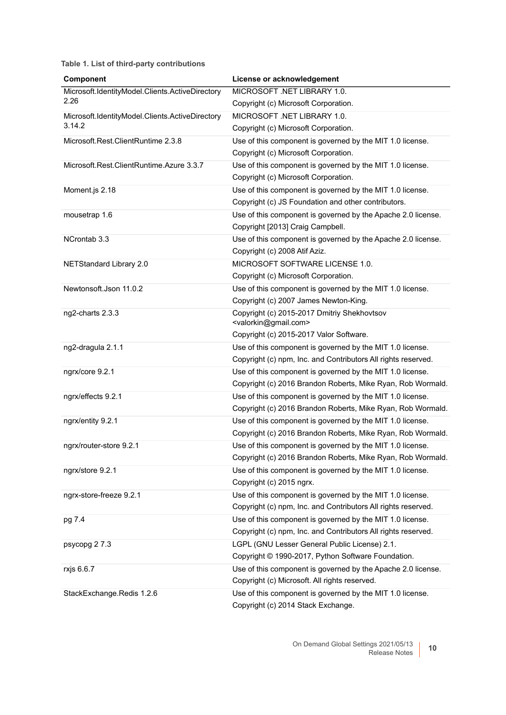| Component                                       | License or acknowledgement                                                               |
|-------------------------------------------------|------------------------------------------------------------------------------------------|
| Microsoft.IdentityModel.Clients.ActiveDirectory | MICROSOFT .NET LIBRARY 1.0.                                                              |
| 2.26                                            | Copyright (c) Microsoft Corporation.                                                     |
| Microsoft.IdentityModel.Clients.ActiveDirectory | MICROSOFT .NET LIBRARY 1.0.                                                              |
| 3.14.2                                          | Copyright (c) Microsoft Corporation.                                                     |
| Microsoft.Rest.ClientRuntime 2.3.8              | Use of this component is governed by the MIT 1.0 license.                                |
|                                                 | Copyright (c) Microsoft Corporation.                                                     |
| Microsoft.Rest.ClientRuntime.Azure 3.3.7        | Use of this component is governed by the MIT 1.0 license.                                |
|                                                 | Copyright (c) Microsoft Corporation.                                                     |
| Moment.js 2.18                                  | Use of this component is governed by the MIT 1.0 license.                                |
|                                                 | Copyright (c) JS Foundation and other contributors.                                      |
| mousetrap 1.6                                   | Use of this component is governed by the Apache 2.0 license.                             |
|                                                 | Copyright [2013] Craig Campbell.                                                         |
| NCrontab 3.3                                    | Use of this component is governed by the Apache 2.0 license.                             |
|                                                 | Copyright (c) 2008 Atif Aziz.                                                            |
| <b>NETStandard Library 2.0</b>                  | MICROSOFT SOFTWARE LICENSE 1.0.                                                          |
|                                                 | Copyright (c) Microsoft Corporation.                                                     |
| Newtonsoft.Json 11.0.2                          | Use of this component is governed by the MIT 1.0 license.                                |
|                                                 | Copyright (c) 2007 James Newton-King.                                                    |
| ng2-charts 2.3.3                                | Copyright (c) 2015-2017 Dmitriy Shekhovtsov<br><valorkin@gmail.com></valorkin@gmail.com> |
|                                                 | Copyright (c) 2015-2017 Valor Software.                                                  |
| ng2-dragula 2.1.1                               | Use of this component is governed by the MIT 1.0 license.                                |
|                                                 | Copyright (c) npm, Inc. and Contributors All rights reserved.                            |
| ngrx/core 9.2.1                                 | Use of this component is governed by the MIT 1.0 license.                                |
|                                                 | Copyright (c) 2016 Brandon Roberts, Mike Ryan, Rob Wormald.                              |
| ngrx/effects 9.2.1                              | Use of this component is governed by the MIT 1.0 license.                                |
|                                                 | Copyright (c) 2016 Brandon Roberts, Mike Ryan, Rob Wormald.                              |
| ngrx/entity 9.2.1                               | Use of this component is governed by the MIT 1.0 license.                                |
|                                                 | Copyright (c) 2016 Brandon Roberts, Mike Ryan, Rob Wormald.                              |
| ngrx/router-store 9.2.1                         | Use of this component is governed by the MIT 1.0 license.                                |
|                                                 | Copyright (c) 2016 Brandon Roberts, Mike Ryan, Rob Wormald.                              |
| ngrx/store 9.2.1                                | Use of this component is governed by the MIT 1.0 license.                                |
|                                                 | Copyright (c) 2015 ngrx.                                                                 |
| ngrx-store-freeze 9.2.1                         | Use of this component is governed by the MIT 1.0 license.                                |
|                                                 | Copyright (c) npm, Inc. and Contributors All rights reserved.                            |
| pg 7.4                                          | Use of this component is governed by the MIT 1.0 license.                                |
|                                                 | Copyright (c) npm, Inc. and Contributors All rights reserved.                            |
| psycopg 27.3                                    | LGPL (GNU Lesser General Public License) 2.1.                                            |
|                                                 | Copyright © 1990-2017, Python Software Foundation.                                       |
| rxjs 6.6.7                                      | Use of this component is governed by the Apache 2.0 license.                             |
|                                                 | Copyright (c) Microsoft. All rights reserved.                                            |
| StackExchange.Redis 1.2.6                       | Use of this component is governed by the MIT 1.0 license.                                |
|                                                 | Copyright (c) 2014 Stack Exchange.                                                       |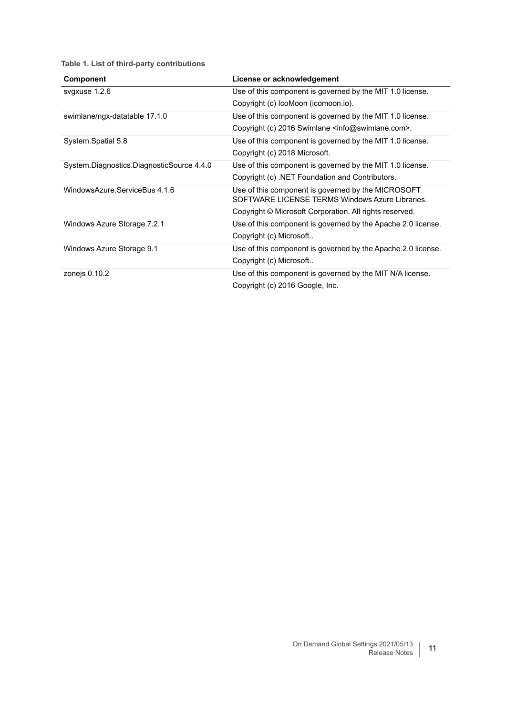<span id="page-10-0"></span>

| <b>Component</b>                          | License or acknowledgement                                                                            |
|-------------------------------------------|-------------------------------------------------------------------------------------------------------|
| svgxuse 1.2.6                             | Use of this component is governed by the MIT 1.0 license.                                             |
|                                           | Copyright (c) IcoMoon (icomoon.io).                                                                   |
| swimlane/ngx-datatable 17.1.0             | Use of this component is governed by the MIT 1.0 license.                                             |
|                                           | Copyright (c) 2016 Swimlane <info@swimlane.com>.</info@swimlane.com>                                  |
| System.Spatial 5.8                        | Use of this component is governed by the MIT 1.0 license.                                             |
|                                           | Copyright (c) 2018 Microsoft.                                                                         |
| System.Diagnostics.DiagnosticSource 4.4.0 | Use of this component is governed by the MIT 1.0 license.                                             |
|                                           | Copyright (c) .NET Foundation and Contributors.                                                       |
| WindowsAzure.ServiceBus 4.1.6             | Use of this component is governed by the MICROSOFT<br>SOFTWARE LICENSE TERMS Windows Azure Libraries. |
|                                           | Copyright © Microsoft Corporation. All rights reserved.                                               |
| Windows Azure Storage 7.2.1               | Use of this component is governed by the Apache 2.0 license.                                          |
|                                           | Copyright (c) Microsoft                                                                               |
| Windows Azure Storage 9.1                 | Use of this component is governed by the Apache 2.0 license.                                          |
|                                           | Copyright (c) Microsoft                                                                               |
| zonejs 0.10.2                             | Use of this component is governed by the MIT N/A license.                                             |
|                                           | Copyright (c) 2016 Google, Inc.                                                                       |